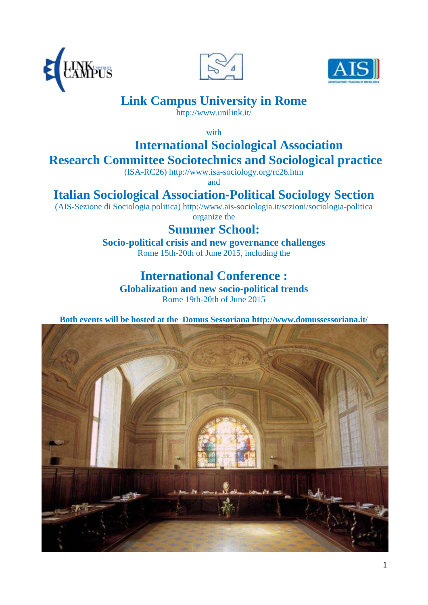





# **Link Campus University in Rome**

http://www.unilink.it/

with

# **International Sociological Association Research Committee Sociotechnics and Sociological practice**

(ISA-RC26) http://www.isa-sociology.org/rc26.htm

and

# **Italian Sociological Association-Political Sociology Section**

(AIS-Sezione di Sociologia politica) http://www.ais-sociologia.it/sezioni/sociologia-politica organize the

# **Summer School:**

**Socio-political crisis and new governance challenges** Rome 15th-20th of June 2015, including the

# **International Conference :**

**Globalization and new socio-political trends** Rome 19th-20th of June 2015

**Both events will be hosted at the Domus Sessoriana http://www.domussessoriana.it/**

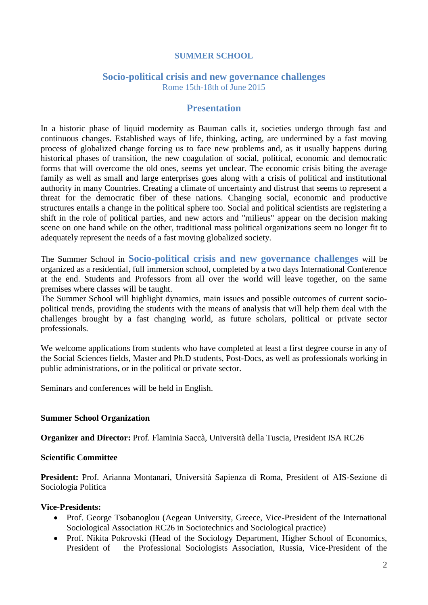### **SUMMER SCHOOL**

#### **Socio-political crisis and new governance challenges** Rome 15th-18th of June 2015

### **Presentation**

In a historic phase of liquid modernity as Bauman calls it, societies undergo through fast and continuous changes. Established ways of life, thinking, acting, are undermined by a fast moving process of globalized change forcing us to face new problems and, as it usually happens during historical phases of transition, the new coagulation of social, political, economic and democratic forms that will overcome the old ones, seems yet unclear. The economic crisis biting the average family as well as small and large enterprises goes along with a crisis of political and institutional authority in many Countries. Creating a climate of uncertainty and distrust that seems to represent a threat for the democratic fiber of these nations. Changing social, economic and productive structures entails a change in the political sphere too. Social and political scientists are registering a shift in the role of political parties, and new actors and "milieus" appear on the decision making scene on one hand while on the other, traditional mass political organizations seem no longer fit to adequately represent the needs of a fast moving globalized society.

The Summer School in **Socio-political crisis and new governance challenges** will be organized as a residential, full immersion school, completed by a two days International Conference at the end. Students and Professors from all over the world will leave together, on the same premises where classes will be taught.

The Summer School will highlight dynamics, main issues and possible outcomes of current sociopolitical trends, providing the students with the means of analysis that will help them deal with the challenges brought by a fast changing world, as future scholars, political or private sector professionals.

We welcome applications from students who have completed at least a first degree course in any of the Social Sciences fields, Master and Ph.D students, Post-Docs, as well as professionals working in public administrations, or in the political or private sector.

Seminars and conferences will be held in English.

#### **Summer School Organization**

**Organizer and Director:** Prof. Flaminia Saccà, Università della Tuscia, President ISA RC26

#### **Scientific Committee**

**President:** Prof. Arianna Montanari, Università Sapienza di Roma, President of AIS-Sezione di Sociologia Politica

### **Vice-Presidents:**

- Prof. George Tsobanoglou (Aegean University, Greece, Vice-President of the International Sociological Association RC26 in Sociotechnics and Sociological practice)
- Prof. Nikita Pokrovski (Head of the Sociology Department, Higher School of Economics, President of the Professional Sociologists Association, Russia, Vice-President of the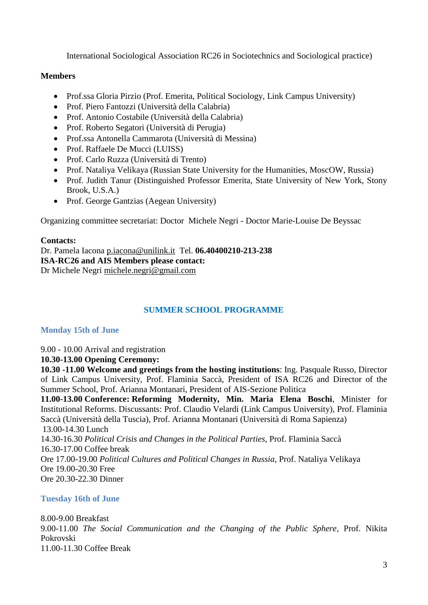International Sociological Association RC26 in Sociotechnics and Sociological practice)

### **Members**

- Prof.ssa Gloria Pirzio (Prof. Emerita, Political Sociology, Link Campus University)
- Prof. Piero Fantozzi (Università della Calabria)
- Prof. Antonio Costabile (Università della Calabria)
- Prof. Roberto Segatori (Università di Perugia)
- Prof.ssa Antonella Cammarota (Università di Messina)
- Prof. Raffaele De Mucci (LUISS)
- Prof. Carlo Ruzza (Università di Trento)
- Prof. Nataliya Velikaya (Russian State University for the Humanities, MoscOW, Russia)
- Prof. Judith Tanur (Distinguished Professor Emerita, State University of New York, Stony Brook, U.S.A.)
- Prof. George Gantzias (Aegean University)

Organizing committee secretariat: Doctor Michele Negri - Doctor Marie-Louise De Beyssac

### **Contacts:**

Dr. Pamela Iacona [p.iacona@unilink.it](mailto:p.iacona@unilink.it) Tel. **06.40400210-213-238 ISA-RC26 and AIS Members please contact:** Dr Michele Negri [michele.negri@gmail.com](mailto:michele.negri@gmail.com)

## **SUMMER SCHOOL PROGRAMME**

### **Monday 15th of June**

9.00 - 10.00 Arrival and registration

### **10.30-13.00 Opening Ceremony:**

**10.30 -11.00 Welcome and greetings from the hosting institutions**: Ing. Pasquale Russo, Director of Link Campus University, Prof. Flaminia Saccà, President of ISA RC26 and Director of the Summer School, Prof. Arianna Montanari, President of AIS-Sezione Politica

**11.00-13.00 Conference: Reforming Modernity, Min. Maria Elena Boschi**, Minister for Institutional Reforms. Discussants: Prof. Claudio Velardi (Link Campus University), Prof. Flaminia Saccà (Università della Tuscia), Prof. Arianna Montanari (Università di Roma Sapienza) 13.00-14.30 Lunch

14.30-16.30 *Political Crisis and Changes in the Political Parties,* Prof. Flaminia Saccà 16.30-17.00 Coffee break Ore 17.00-19.00 *Political Cultures and Political Changes in Russia*, Prof. Nataliya Velikaya Ore 19.00-20.30 Free Ore 20.30-22.30 Dinner

## **Tuesday 16th of June**

8.00-9.00 Breakfast 9.00-11.00 *The Social Communication and the Changing of the Public Sphere,* Prof. Nikita Pokrovski 11.00-11.30 Coffee Break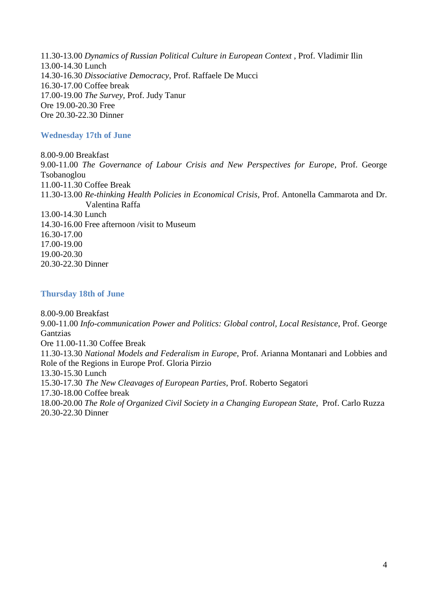11.30-13.00 *Dynamics of Russian Political Culture in European Context* , Prof. Vladimir Ilin 13.00-14.30 Lunch 14.30-16.30 *Dissociative Democracy*, Prof. Raffaele De Mucci 16.30-17.00 Coffee break 17.00-19.00 *The Survey,* Prof. Judy Tanur Ore 19.00-20.30 Free Ore 20.30-22.30 Dinner

### **Wednesday 17th of June**

8.00-9.00 Breakfast 9.00-11.00 *The Governance of Labour Crisis and New Perspectives for Europe,* Prof. George Tsobanoglou 11.00-11.30 Coffee Break 11.30-13.00 *Re-thinking Health Policies in Economical Crisis,* Prof. Antonella Cammarota and Dr. Valentina Raffa 13.00-14.30 Lunch 14.30-16.00 Free afternoon /visit to Museum 16.30-17.00 17.00-19.00 19.00-20.30 20.30-22.30 Dinner

### **Thursday 18th of June**

8.00-9.00 Breakfast 9.00-11.00 *Info-communication Power and Politics: Global control, Local Resistance*, Prof. George Gantzias Ore 11.00-11.30 Coffee Break 11.30-13.30 *National Models and Federalism in Europe*, Prof. Arianna Montanari and Lobbies and Role of the Regions in Europe Prof. Gloria Pirzio 13.30-15.30 Lunch 15.30-17.30 *The New Cleavages of European Parties*, Prof. Roberto Segatori 17.30-18.00 Coffee break 18.00-20.00 *The Role of Organized Civil Society in a Changing European State*, Prof. Carlo Ruzza 20.30-22.30 Dinner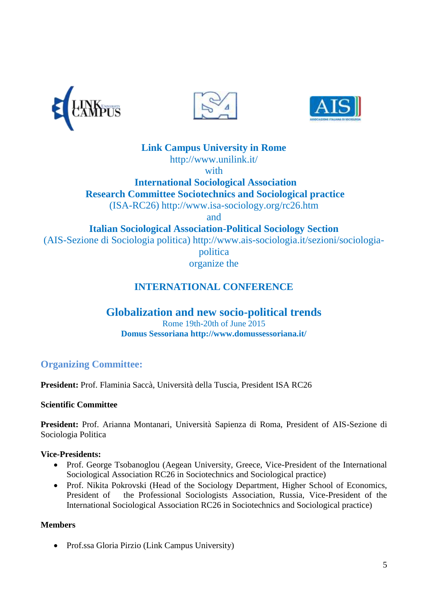





**Link Campus University in Rome**

http://www.unilink.it/

with

 **International Sociological Association Research Committee Sociotechnics and Sociological practice** (ISA-RC26) http://www.isa-sociology.org/rc26.htm

and

**Italian Sociological Association-Political Sociology Section**

(AIS-Sezione di Sociologia politica) http://www.ais-sociologia.it/sezioni/sociologia-

politica

organize the

# **INTERNATIONAL CONFERENCE**

# **Globalization and new socio-political trends**

Rome 19th-20th of June 2015 **Domus Sessoriana http://www.domussessoriana.it/**

# **Organizing Committee:**

**President:** Prof. Flaminia Saccà, Università della Tuscia, President ISA RC26

## **Scientific Committee**

**President:** Prof. Arianna Montanari, Università Sapienza di Roma, President of AIS-Sezione di Sociologia Politica

## **Vice-Presidents:**

- Prof. George Tsobanoglou (Aegean University, Greece, Vice-President of the International Sociological Association RC26 in Sociotechnics and Sociological practice)
- Prof. Nikita Pokrovski (Head of the Sociology Department, Higher School of Economics, President of the Professional Sociologists Association, Russia, Vice-President of the International Sociological Association RC26 in Sociotechnics and Sociological practice)

## **Members**

Prof.ssa Gloria Pirzio (Link Campus University)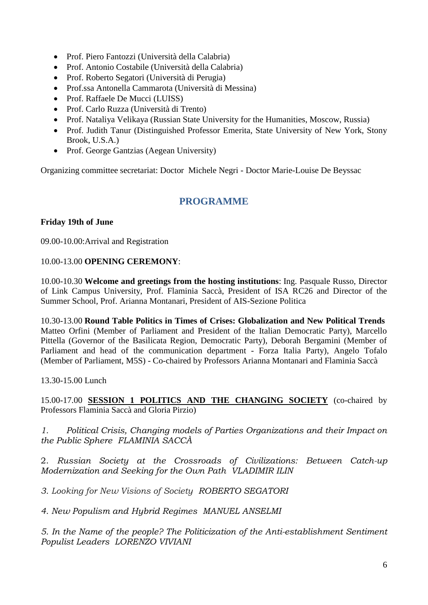- Prof. Piero Fantozzi (Università della Calabria)
- Prof. Antonio Costabile (Università della Calabria)
- Prof. Roberto Segatori (Università di Perugia)
- Prof.ssa Antonella Cammarota (Università di Messina)
- Prof. Raffaele De Mucci (LUISS)
- Prof. Carlo Ruzza (Università di Trento)
- Prof. Nataliya Velikaya (Russian State University for the Humanities, Moscow, Russia)
- Prof. Judith Tanur (Distinguished Professor Emerita, State University of New York, Stony Brook, U.S.A.)
- Prof. George Gantzias (Aegean University)

Organizing committee secretariat: Doctor Michele Negri - Doctor Marie-Louise De Beyssac

## **PROGRAMME**

### **Friday 19th of June**

09.00-10.00:Arrival and Registration

### 10.00-13.00 **OPENING CEREMONY**:

10.00-10.30 **Welcome and greetings from the hosting institutions**: Ing. Pasquale Russo, Director of Link Campus University, Prof. Flaminia Saccà, President of ISA RC26 and Director of the Summer School, Prof. Arianna Montanari, President of AIS-Sezione Politica

10.30-13.00 **Round Table Politics in Times of Crises: Globalization and New Political Trends** Matteo Orfini (Member of Parliament and President of the Italian Democratic Party), Marcello Pittella (Governor of the Basilicata Region, Democratic Party), Deborah Bergamini (Member of Parliament and head of the communication department - Forza Italia Party), Angelo Tofalo (Member of Parliament, M5S) - Co-chaired by Professors Arianna Montanari and Flaminia Saccà

13.30-15.00 Lunch

15.00-17.00 **SESSION 1 POLITICS AND THE CHANGING SOCIETY** (co-chaired by Professors Flaminia Saccà and Gloria Pirzio)

*1. Political Crisis, Changing models of Parties Organizations and their Impact on the Public Sphere FLAMINIA SACCÀ*

2. *Russian Society at the Crossroads of Civilizations: Between Catch-up Modernization and Seeking for the Own Path VLADIMIR ILIN*

*3. Looking for New Visions of Society ROBERTO SEGATORI*

*4. New Populism and Hybrid Regimes MANUEL ANSELMI*

*5. In the Name of the people? The Politicization of the Anti-establishment Sentiment Populist Leaders LORENZO VIVIANI*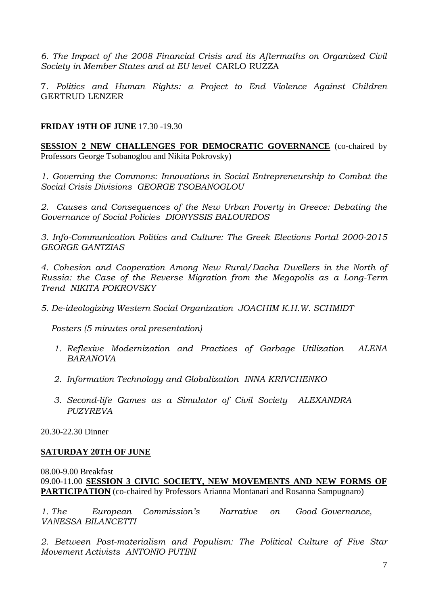*6. The Impact of the 2008 Financial Crisis and its Aftermaths on Organized Civil Society in Member States and at EU level* CARLO RUZZA

7. *Politics and Human Rights: a Project to End Violence Against Children* GERTRUD LENZER

### **FRIDAY 19TH OF JUNE** 17.30 -19.30

**SESSION 2 NEW CHALLENGES FOR DEMOCRATIC GOVERNANCE** (co-chaired by Professors George Tsobanoglou and Nikita Pokrovsky)

*1. Governing the Commons: Innovations in Social Entrepreneurship to Combat the Social Crisis Divisions GEORGE TSOBANOGLOU*

*2. Causes and Consequences of the New Urban Poverty in Greece: Debating the Governance of Social Policies DIONYSSIS BALOURDOS*

*3. Info-Communication Politics and Culture: The Greek Elections Portal 2000-2015 GEORGE GANTZIAS*

*4. Cohesion and Cooperation Among New Rural/Dacha Dwellers in the North of Russia: the Case of the Reverse Migration from the Megapolis as a Long-Term Trend NIKITA POKROVSKY*

*5. De-ideologizing Western Social Organization JOACHIM K.H.W. SCHMIDT*

 *Posters (5 minutes oral presentation)*

- *1. Reflexive Modernization and Practices of Garbage Utilization ALENA BARANOVA*
- *2. Information Technology and Globalization INNA KRIVCHENKO*
- *3. Second-life Games as a Simulator of Civil Society ALEXANDRA PUZYREVA*

20.30-22.30 Dinner

### **SATURDAY 20TH OF JUNE**

08.00-9.00 Breakfast 09.00-11.00 **SESSION 3 CIVIC SOCIETY, NEW MOVEMENTS AND NEW FORMS OF PARTICIPATION** (co-chaired by Professors Arianna Montanari and Rosanna Sampugnaro)

*1. The European Commission's Narrative on Good Governance, VANESSA BILANCETTI* 

*2. Between Post-materialism and Populism: The Political Culture of Five Star Movement Activists ANTONIO PUTINI*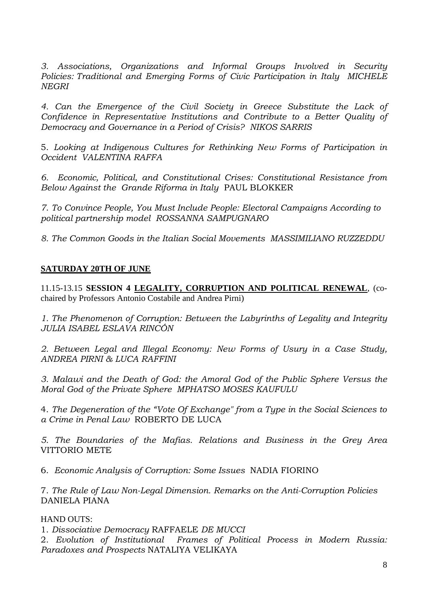*3. Associations, Organizations and Informal Groups Involved in Security Policies: Traditional and Emerging Forms of Civic Participation in Italy MICHELE NEGRI*

*4. Can the Emergence of the Civil Society in Greece Substitute the Lack of Confidence in Representative Institutions and Contribute to a Better Quality of Democracy and Governance in a Period of Crisis? NIKOS SARRIS*

5. *Looking at Indigenous Cultures for Rethinking New Forms of Participation in Occident VALENTINA RAFFA*

*6. Economic, Political, and Constitutional Crises: Constitutional Resistance from Below Against the Grande Riforma in Italy* PAUL BLOKKER

*7*. *To Convince People, You Must Include People: Electoral Campaigns According to political partnership model ROSSANNA SAMPUGNARO*

*8. The Common Goods in the Italian Social Movements MASSIMILIANO RUZZEDDU*

## **SATURDAY 20TH OF JUNE**

11.15-13.15 **SESSION 4 LEGALITY, CORRUPTION AND POLITICAL RENEWAL**, (cochaired by Professors Antonio Costabile and Andrea Pirni)

*1. The Phenomenon of Corruption: Between the Labyrinths of Legality and Integrity JULIA ISABEL ESLAVA RINCÓN*

*2. Between Legal and Illegal Economy: New Forms of Usury in a Case Study, ANDREA PIRNI & LUCA RAFFINI*

*3. Malawi and the Death of God: the Amoral God of the Public Sphere Versus the Moral God of the Private Sphere MPHATSO MOSES KAUFULU*

4. *The Degeneration of the "Vote Of Exchange" from a Type in the Social Sciences to a Crime in Penal Law* ROBERTO DE LUCA

*5. The Boundaries of the Mafias. Relations and Business in the Grey Area*  VITTORIO METE

6. *Economic Analysis of Corruption: Some Issues* NADIA FIORINO

7. *The Rule of Law Non-Legal Dimension. Remarks on the Anti-Corruption Policies* DANIELA PIANA

### HAND OUTS:

1. *Dissociative Democracy* RAFFAELE *DE MUCCI* 

2. *Evolution of Institutional Frames of Political Process in Modern Russia: Paradoxes and Prospects* NATALIYA VELIKAYA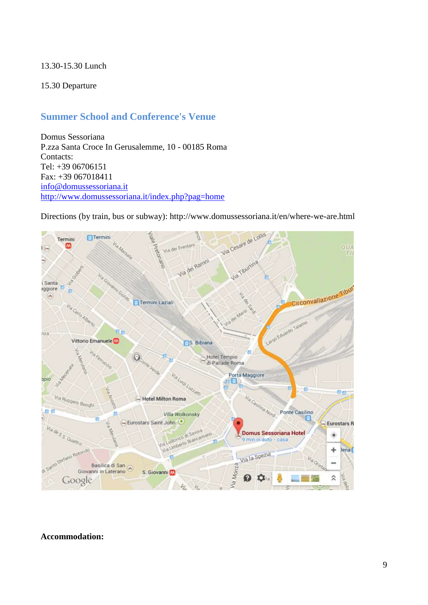### 13.30-15.30 Lunch

### 15.30 Departure

## **Summer School and Conference's Venue**

Domus Sessoriana P.zza Santa Croce In Gerusalemme, 10 - 00185 Roma Contacts: Tel: +39 06706151 Fax: +39 067018411 [info@domussessoriana.it](mailto:info@domussessoriana.it) <http://www.domussessoriana.it/index.php?pag=home>

Via Cesare de Lollis  $F$ Termini Termini Via dei Frentani e pretoriano M  $QUI$ 旧 Via dei Rammi Via Tiburina i Santa **F** Circonvallazione Tibut aggiore  $\left( n\right)$ Termini Laziali Alberto Large Eduardo Talamo α'n nza Vittorio Emanuele **S.** Bibiana **Via Ferre** f en Hotel Tempio<br>di Pallade Roma  $\odot$ Porta Maggiore Luzzan C)  $c_{\text{eff}}$ **Via Casilina Nord.** Via Ruggero Bongl Hotel Milton Roma 86 Ponte Casilino Villa Wolkonsky Eurostars Saint John **Eurostars R** Via de S S Quatro udovico di Savoia Via Ludovico di Savoia<br>Via Ludovico di Savoiami Domus Sessoriana Hotel ۵ 9 min in auto - casa  $100$ ÷ lena (  $AB$ Via la Spezia Via Or Via Monza Basilica di San<br>Giovanni in Laterano S. Giovanni M  $\frac{2}{3}$ O  $\hat{\mathbf{z}}$ o Google űа del

Directions (by train, bus or subway): http://www.domussessoriana.it/en/where-we-are.html

#### **Accommodation:**